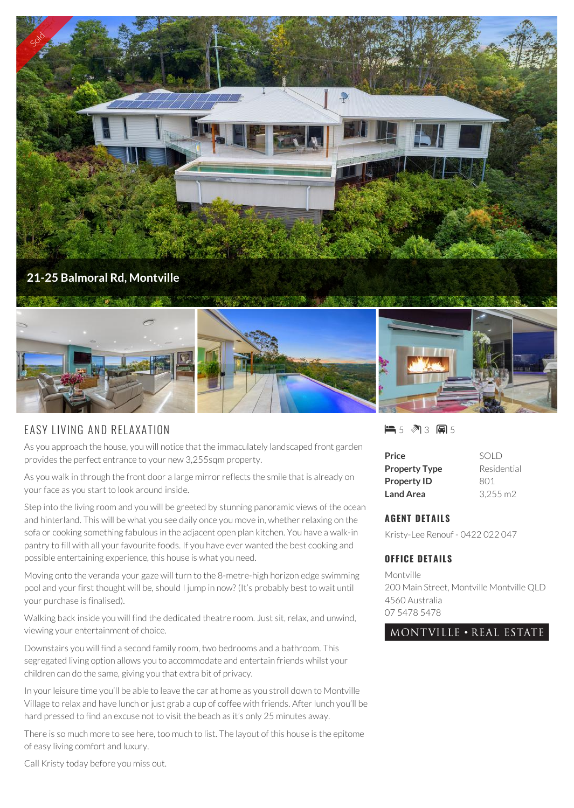

## EASY LIVING AND RELAXATION

As you approach the house, you will notice that the immaculately landscaped front garden provides the perfect entrance to your new 3,255sqm property.

As you walk in through the front door a large mirror reflects the smile that is already on your face as you start to look around inside.

Step into the living room and you will be greeted by stunning panoramic views of the ocean and hinterland. This will be what you see daily once you move in, whether relaxing on the sofa or cooking something fabulous in the adjacent open plan kitchen. You have a walk-in pantry to fill with all your favourite foods. If you have ever wanted the best cooking and possible entertaining experience, this house is what you need.

Moving onto the veranda your gaze will turn to the 8-metre-high horizon edge swimming pool and your first thought will be, should I jump in now? (It's probably best to wait until your purchase is finalised).

Walking back inside you will find the dedicated theatre room. Just sit, relax, and unwind, viewing your entertainment of choice.

Downstairs you will find a second family room, two bedrooms and a bathroom. This segregated living option allows you to accommodate and entertain friends whilst your children can do the same, giving you that extra bit of privacy.

In your leisure time you'll be able to leave the car at home as you stroll down to Montville Village to relax and have lunch or just grab a cup of coffee with friends. After lunch you'll be hard pressed to find an excuse not to visit the beach as it's only 25 minutes away.

There is so much more to see here, too much to list. The layout of this house is the epitome of easy living comfort and luxury.

■5 图3 圓5

| Price                | SOLD               |
|----------------------|--------------------|
| <b>Property Type</b> | Residential        |
| <b>Property ID</b>   | 801                |
| <b>Land Area</b>     | $3.255 \text{ m}2$ |

## **AGENT DETAILS**

Kristy-Lee Renouf - 0422 022 047

## **OFFICE DETAILS**

Montville 200 Main Street, Montville Montville QLD 4560 Australia 07 5478 5478

MONTVILLE . REAL ESTATE

Call Kristy today before you miss out.